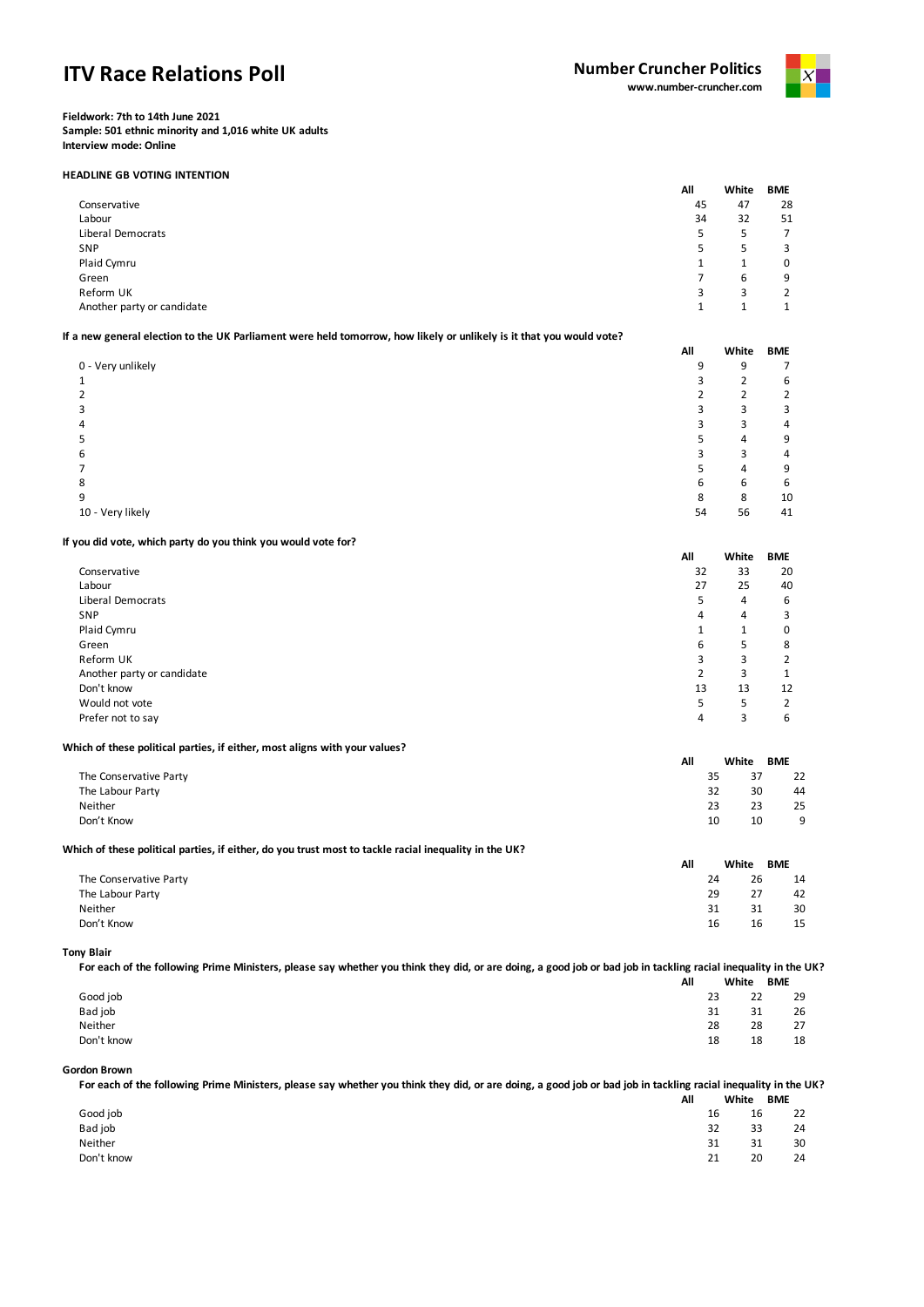# **ITV Race Relations Poll**



**Fieldwork: 7th to 14th June 2021 Sample: 501 ethnic minority and 1,016 white UK adults Interview mode: Online**

## **HEADLINE GB VOTING INTENTION**

|                            | All | White | <b>BME</b>     |
|----------------------------|-----|-------|----------------|
| Conservative               | 45  | 47    | 28             |
| Labour                     | 34  | 32    | 51             |
| Liberal Democrats          | 5   | 5     | $\overline{7}$ |
| SNP                        | 5   | 5     | 3              |
| Plaid Cymru                |     |       | 0              |
| Green                      |     | 6     | 9              |
| Reform UK                  | 3   | 3     | 2              |
| Another party or candidate | 1   |       | ◢              |

# **If a new general election to the UK Parliament were held tomorrow, how likely or unlikely is it that you would vote?**

|                   | All | White | <b>BME</b> |
|-------------------|-----|-------|------------|
| 0 - Very unlikely | 9   | 9     |            |
|                   |     | ∍     | 6          |
| 2                 |     |       |            |
| 3                 | ┑   | 3     |            |
| 4                 |     | З     | Δ          |
| 5                 |     | 4     | 9          |
| 6                 |     | 3     | 4          |
|                   |     | 4     | 9          |
| 8                 | 6   | 6     | 6          |
| 9                 | 8   | 8     | 10         |
| 10 - Very likely  | 54  | 56    | 41         |

## **If you did vote, which party do you think you would vote for?**

|                            | All            | White | <b>BME</b>   |
|----------------------------|----------------|-------|--------------|
| Conservative               | 32             | 33    | 20           |
| Labour                     | 27             | 25    | 40           |
| Liberal Democrats          | 5              | 4     | 6            |
| SNP                        | 4              | 4     | 3            |
| Plaid Cymru                |                |       | 0            |
| Green                      | 6              | 5     | 8            |
| Reform UK                  | 3              | 3     | 2            |
| Another party or candidate | $\overline{2}$ | 3     | $\mathbf{1}$ |
| Don't know                 | 13             | 13    | 12           |
| Would not vote             | 5              | 5     | 2            |
| Prefer not to say          | 4              | 3     | 6            |

## **Which of these political parties, if either, most aligns with your values?**

|                        | All | White    | <b>BME</b> |
|------------------------|-----|----------|------------|
| The Conservative Party |     | 37<br>35 | 22         |
| The Labour Party       |     | 30<br>32 | 44         |
| Neither                |     | 23<br>23 | 25         |
| Don't Know             |     | 10<br>10 | a          |

## **Which of these political parties, if either, do you trust most to tackle racial inequality in the UK?**

|                        | All | White | <b>BME</b> |
|------------------------|-----|-------|------------|
| The Conservative Party | 24  | 26    | 14         |
| The Labour Party       | 29  | 27    | 42         |
| Neither                | 31  | 31    | 30         |
| Don't Know             | 16  | 16    | 15         |

### **Tony Blair**

**For each of the following Prime Ministers, please say whether you think they did, or are doing, a good job or bad job in tackling racial inequality in the UK?**

|            | All | White |    | <b>BME</b> |
|------------|-----|-------|----|------------|
| Good job   |     | 23    | 22 | 29         |
| Bad job    |     | 31    | 31 | 26         |
| Neither    |     | 28    | 28 | 27         |
| Don't know |     | 18    | 18 | 18         |

#### **Gordon Brown**

**For each of the following Prime Ministers, please say whether you think they did, or are doing, a good job or bad job in tackling racial inequality in the UK? All White BME**

|            | mн. | wwww     | PIVIL |    |
|------------|-----|----------|-------|----|
| Good job   |     | 16       | 16    | 22 |
| Bad job    |     | 32       | 33    | 24 |
| Neither    |     | 21<br>⊥ت | 31    | 30 |
| Don't know |     | 21       | 20    | 24 |